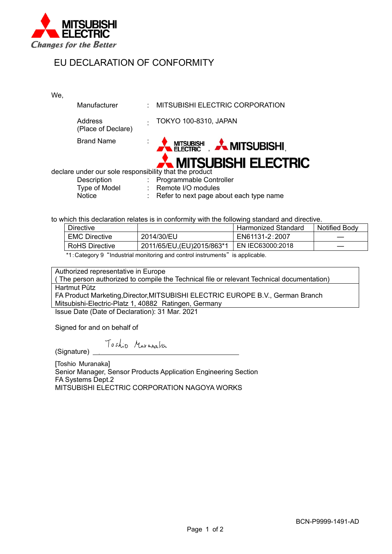

## EU DECLARATION OF CONFORMITY

We,

| Manufacturer                                           |                      | MITSUBISHI ELECTRIC CORPORATION                                |
|--------------------------------------------------------|----------------------|----------------------------------------------------------------|
| Address<br>(Place of Declare)                          | $\ddot{\phantom{0}}$ | <b>TOKYO 100-8310, JAPAN</b>                                   |
| <b>Brand Name</b>                                      |                      | <b>A MITSUBISHI A MITSUBISHI</b><br><b>MITSUBISHI ELECTRIC</b> |
| declare under our sole responsibility that the product |                      |                                                                |
| Description                                            |                      | : Programmable Controller                                      |
| <b>Type of Model</b>                                   |                      | : Remote I/O modules                                           |
| <b>Notice</b>                                          |                      | : Refer to next page about each type name                      |

to which this declaration relates is in conformity with the following standard and directive.

| <b>Directive</b>      |                             | <b>Harmonized Standard</b> | <b>Notified Body</b> |
|-----------------------|-----------------------------|----------------------------|----------------------|
| <b>EMC Directive</b>  | 2014/30/EU                  | EN61131-2:2007             |                      |
| <b>RoHS Directive</b> | 2011/65/EU, (EU) 2015/863*1 | EN IEC63000:2018           |                      |
|                       |                             |                            |                      |

\*1:Category 9 "Industrial monitoring and control instruments" is applicable.

Authorized representative in Europe

( The person authorized to compile the Technical file or relevant Technical documentation) Hartmut Pütz

FA Product Marketing,Director,MITSUBISHI ELECTRIC EUROPE B.V., German Branch Mitsubishi-Electric-Platz 1, 40882 Ratingen, Germany

Issue Date (Date of Declaration): 31 Mar. 2021

Signed for and on behalf of

Toshio Muranaka

(Signature)

[Toshio Muranaka] Senior Manager, Sensor Products Application Engineering Section FA Systems Dept.2 MITSUBISHI ELECTRIC CORPORATION NAGOYA WORKS